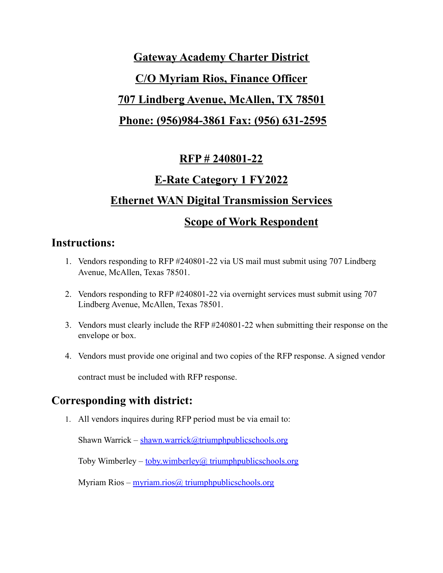# **Gateway Academy Charter District C/O Myriam Rios, Finance Officer 707 Lindberg Avenue, McAllen, TX 78501 Phone: (956)984-3861 Fax: (956) 631-2595**

### **RFP # 240801-22**

# **E-Rate Category 1 FY2022 Ethernet WAN Digital Transmission Services**

## **Scope of Work Respondent**

## **Instructions:**

- 1. Vendors responding to RFP #240801-22 via US mail must submit using 707 Lindberg Avenue, McAllen, Texas 78501.
- 2. Vendors responding to RFP #240801-22 via overnight services must submit using 707 Lindberg Avenue, McAllen, Texas 78501.
- 3. Vendors must clearly include the RFP #240801-22 when submitting their response on the envelope or box.
- 4. Vendors must provide one original and two copies of the RFP response. A signed vendor

contract must be included with RFP response.

# **Corresponding with district:**

1. All vendors inquires during RFP period must be via email to:

Shawn Warrick – shawn.warrick@triumphpublicschools.org

Toby Wimberley – [toby.wimberley@ triumphpublicschools.org](mailto:toby.wimberley@sapicsc.org)

Myriam Rios – myriam.rios $\omega$  triumphpublicschools.org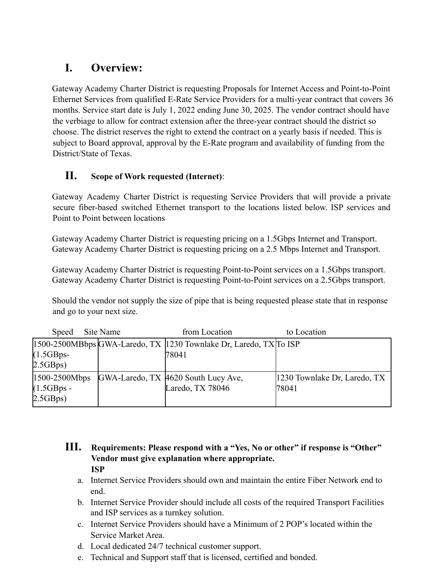# **I. Overview:**

Gateway Academy Charter District is requesting Proposals for Internet Access and Point-to-Point Ethernet Services from qualified E-Rate Service Providers for a multi-year contract that covers 36 months. Service start date is July 1, 2022 ending June 30, 2025. The vendor contract should have the verbiage to allow for contract extension after the three-year contract should the district so choose. The district reserves the right to extend the contract on a yearly basis if needed. This is subject to Board approval, approval by the E-Rate program and availability of funding from the District/State of Texas.

### **II. Scope of Work requested (Internet)**:

Gateway Academy Charter District is requesting Service Providers that will provide a private secure fiber-based switched Ethernet transport to the locations listed below. ISP services and Point to Point between locations

Gateway Academy Charter District is requesting pricing on a 1.5Gbps Internet and Transport. Gateway Academy Charter District is requesting pricing on a 2.5 Mbps Internet and Transport.

Gateway Academy Charter District is requesting Point-to-Point services on a 1.5Gbps transport. Gateway Academy Charter District is requesting Point-to-Point services on a 2.5Gbps transport.

Should the vendor not supply the size of pipe that is being requested please state that in response and go to your next size.

| <b>Speed</b>    | Site Name | from Location                                                         | to Location                  |
|-----------------|-----------|-----------------------------------------------------------------------|------------------------------|
|                 |           | $1500-2500MBbps$ GWA-Laredo, TX $1230$ Townlake Dr, Laredo, TX To ISP |                              |
| $(1.5GBps-$     |           | 78041                                                                 |                              |
| 2.5GBps)        |           |                                                                       |                              |
| $1500-2500Mbps$ |           | GWA-Laredo, TX 4620 South Lucy Ave,                                   | 1230 Townlake Dr, Laredo, TX |
| $(1.5GBps -$    |           | Laredo, TX 78046                                                      | 78041                        |
| 2.5GBps)        |           |                                                                       |                              |

#### **III. Requirements: Please respond with a "Yes, No or other" if response is "Other" Vendor must give explanation where appropriate. ISP**

- a. Internet Service Providers should own and maintain the entire Fiber Network end to end.
- b. Internet Service Provider should include all costs of the required Transport Facilities and ISP services as a turnkey solution.
- c. Internet Service Providers should have a Minimum of 2 POP's located within the Service Market Area.
- d. Local dedicated 24/7 technical customer support.
- e. Technical and Support staff that is licensed, certified and bonded.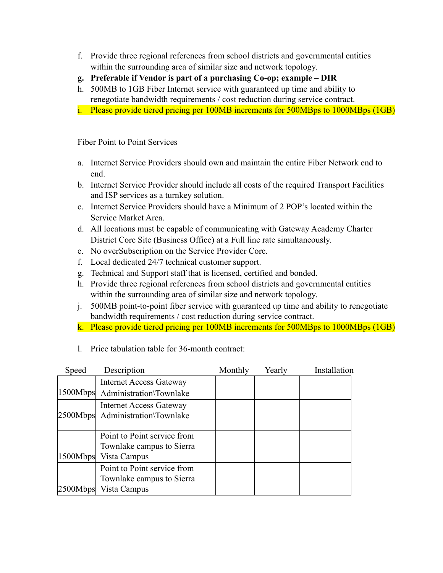- f. Provide three regional references from school districts and governmental entities within the surrounding area of similar size and network topology.
- **g. Preferable if Vendor is part of a purchasing Co-op; example DIR**
- h. 500MB to 1GB Fiber Internet service with guaranteed up time and ability to renegotiate bandwidth requirements / cost reduction during service contract.
- i. Please provide tiered pricing per 100MB increments for 500MBps to 1000MBps (1GB)

Fiber Point to Point Services

- a. Internet Service Providers should own and maintain the entire Fiber Network end to end.
- b. Internet Service Provider should include all costs of the required Transport Facilities and ISP services as a turnkey solution.
- c. Internet Service Providers should have a Minimum of 2 POP's located within the Service Market Area.
- d. All locations must be capable of communicating with Gateway Academy Charter District Core Site (Business Office) at a Full line rate simultaneously.
- e. No overSubscription on the Service Provider Core.
- f. Local dedicated 24/7 technical customer support.
- g. Technical and Support staff that is licensed, certified and bonded.
- h. Provide three regional references from school districts and governmental entities within the surrounding area of similar size and network topology.
- j. 500MB point-to-point fiber service with guaranteed up time and ability to renegotiate bandwidth requirements / cost reduction during service contract.
- k. Please provide tiered pricing per 100MB increments for 500MBps to 1000MBps (1GB)

| Speed    | Description                                                              | Monthly | Yearly | Installation |
|----------|--------------------------------------------------------------------------|---------|--------|--------------|
|          | <b>Internet Access Gateway</b>                                           |         |        |              |
|          | [1500Mbps] Administration\Townlake                                       |         |        |              |
|          | <b>Internet Access Gateway</b><br>2500Mbps Administration\Townlake       |         |        |              |
| 1500Mbps | Point to Point service from<br>Townlake campus to Sierra<br>Vista Campus |         |        |              |
| 2500Mbps | Point to Point service from<br>Townlake campus to Sierra<br>Vista Campus |         |        |              |

l. Price tabulation table for 36-month contract: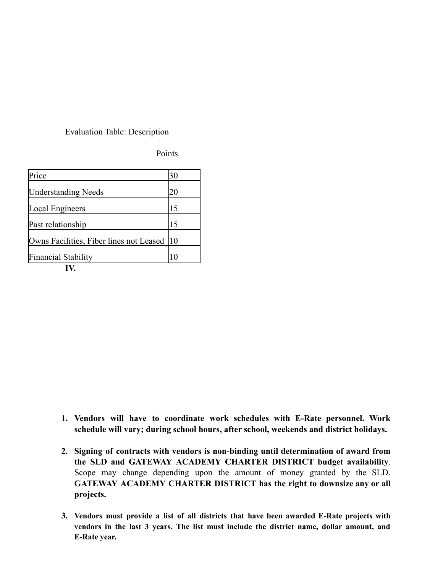#### Evaluation Table: Description

**Points** 

| Price                                   | 30 |
|-----------------------------------------|----|
| <b>Understanding Needs</b>              | 20 |
| Local Engineers                         | 15 |
| Past relationship                       | 15 |
| Owns Facilities, Fiber lines not Leased | 10 |
| <b>Financial Stability</b>              | 10 |
|                                         |    |

- **1. Vendors will have to coordinate work schedules with E-Rate personnel. Work schedule will vary; during school hours, after school, weekends and district holidays.**
- **2. Signing of contracts with vendors is non-binding until determination of award from the SLD and GATEWAY ACADEMY CHARTER DISTRICT budget availability**. Scope may change depending upon the amount of money granted by the SLD. **GATEWAY ACADEMY CHARTER DISTRICT has the right to downsize any or all projects.**
- **3. Vendors must provide a list of all districts that have been awarded E-Rate projects with vendors in the last 3 years. The list must include the district name, dollar amount, and E-Rate year.**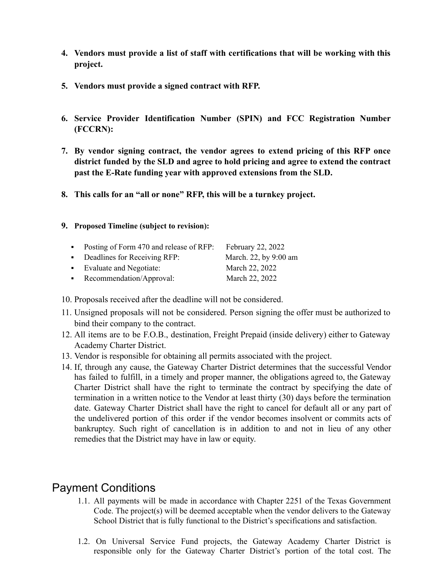- **4. Vendors must provide a list of staff with certifications that will be working with this project.**
- **5. Vendors must provide a signed contract with RFP.**
- **6. Service Provider Identification Number (SPIN) and FCC Registration Number (FCCRN):**
- **7. By vendor signing contract, the vendor agrees to extend pricing of this RFP once district funded by the SLD and agree to hold pricing and agree to extend the contract past the E-Rate funding year with approved extensions from the SLD.**
- **8. This calls for an "all or none" RFP, this will be a turnkey project.**

#### **9. Proposed Timeline (subject to revision):**

| • Posting of Form 470 and release of RFP: | February 22, 2022     |
|-------------------------------------------|-----------------------|
| • Deadlines for Receiving RFP:            | March. 22, by 9:00 am |
| • Evaluate and Negotiate:                 | March 22, 2022        |
| • Recommendation/Approval:                | March 22, 2022        |

- 10. Proposals received after the deadline will not be considered.
- 11. Unsigned proposals will not be considered. Person signing the offer must be authorized to bind their company to the contract.
- 12. All items are to be F.O.B., destination, Freight Prepaid (inside delivery) either to Gateway Academy Charter District.
- 13. Vendor is responsible for obtaining all permits associated with the project.
- 14. If, through any cause, the Gateway Charter District determines that the successful Vendor has failed to fulfill, in a timely and proper manner, the obligations agreed to, the Gateway Charter District shall have the right to terminate the contract by specifying the date of termination in a written notice to the Vendor at least thirty (30) days before the termination date. Gateway Charter District shall have the right to cancel for default all or any part of the undelivered portion of this order if the vendor becomes insolvent or commits acts of bankruptcy. Such right of cancellation is in addition to and not in lieu of any other remedies that the District may have in law or equity.

## Payment Conditions

- 1.1. All payments will be made in accordance with Chapter 2251 of the Texas Government Code. The project(s) will be deemed acceptable when the vendor delivers to the Gateway School District that is fully functional to the District's specifications and satisfaction.
- 1.2. On Universal Service Fund projects, the Gateway Academy Charter District is responsible only for the Gateway Charter District's portion of the total cost. The